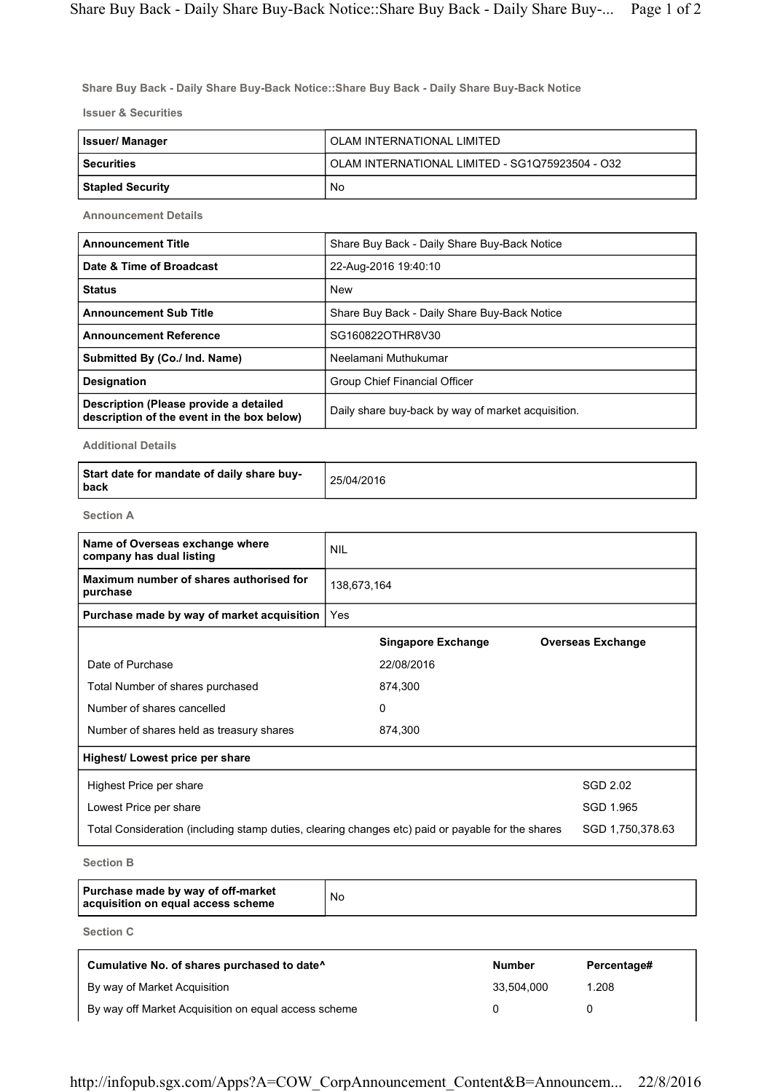**Share Buy Back - Daily Share Buy-Back Notice::Share Buy Back - Daily Share Buy-Back Notice**

**Issuer & Securities**

| <b>Issuer/Manager</b> | OLAM INTERNATIONAL LIMITED                      |
|-----------------------|-------------------------------------------------|
| l Securities          | OLAM INTERNATIONAL LIMITED - SG1Q75923504 - O32 |
| Stapled Security      | No                                              |

**Announcement Details**

| <b>Announcement Title</b>                                                            | Share Buy Back - Daily Share Buy-Back Notice       |
|--------------------------------------------------------------------------------------|----------------------------------------------------|
| Date & Time of Broadcast                                                             | 22-Aug-2016 19:40:10                               |
| <b>Status</b>                                                                        | <b>New</b>                                         |
| <b>Announcement Sub Title</b>                                                        | Share Buy Back - Daily Share Buy-Back Notice       |
| <b>Announcement Reference</b>                                                        | SG160822OTHR8V30                                   |
| Submitted By (Co./ Ind. Name)                                                        | Neelamani Muthukumar                               |
| <b>Designation</b>                                                                   | Group Chief Financial Officer                      |
| Description (Please provide a detailed<br>description of the event in the box below) | Daily share buy-back by way of market acquisition. |

**Additional Details**

| Start date for mandate of daily share buy-<br>l back | 25/04/2016 |
|------------------------------------------------------|------------|
|------------------------------------------------------|------------|

**Section A**

| Name of Overseas exchange where<br>company has dual listing                                       | <b>NIL</b>  |                           |                          |  |
|---------------------------------------------------------------------------------------------------|-------------|---------------------------|--------------------------|--|
| Maximum number of shares authorised for<br>purchase                                               | 138,673,164 |                           |                          |  |
| Purchase made by way of market acquisition                                                        | Yes         |                           |                          |  |
|                                                                                                   |             | <b>Singapore Exchange</b> | <b>Overseas Exchange</b> |  |
| Date of Purchase                                                                                  |             | 22/08/2016                |                          |  |
| Total Number of shares purchased                                                                  |             | 874,300                   |                          |  |
| Number of shares cancelled                                                                        |             | 0                         |                          |  |
| Number of shares held as treasury shares                                                          |             | 874,300                   |                          |  |
| Highest/ Lowest price per share                                                                   |             |                           |                          |  |
| Highest Price per share                                                                           |             |                           | SGD 2.02                 |  |
| Lowest Price per share                                                                            |             |                           | SGD 1.965                |  |
| Total Consideration (including stamp duties, clearing changes etc) paid or payable for the shares |             |                           | SGD 1,750,378.63         |  |
|                                                                                                   |             |                           |                          |  |

**Section B**

| Purchase made by way of off-market<br>acquisition on equal access scheme | No |
|--------------------------------------------------------------------------|----|
|--------------------------------------------------------------------------|----|

**Section C**

| Cumulative No. of shares purchased to date <sup>^</sup> | <b>Number</b> | Percentage# |
|---------------------------------------------------------|---------------|-------------|
| By way of Market Acquisition                            | 33.504.000    | 1.208       |
| By way off Market Acquisition on equal access scheme    |               |             |